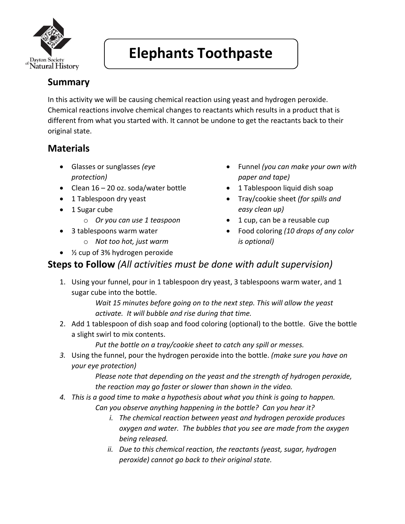

# **Elephants Toothpaste**

#### **Summary**

In this activity we will be causing chemical reaction using yeast and hydrogen peroxide. Chemical reactions involve chemical changes to reactants which results in a product that is different from what you started with. It cannot be undone to get the reactants back to their original state.

### **Materials**

- Glasses or sunglasses *(eye protection)*
- Clean 16 20 oz. soda/water bottle
- 1 Tablespoon dry yeast
- 1 Sugar cube
	- o *Or you can use 1 teaspoon*
- 3 tablespoons warm water
	- o *Not too hot, just warm*
- Funnel *(you can make your own with paper and tape)*
- 1 Tablespoon liquid dish soap
- Tray/cookie sheet *(for spills and easy clean up)*
- 1 cup, can be a reusable cup
- Food coloring *(10 drops of any color is optional)*
- ½ cup of 3% hydrogen peroxide

#### **Steps to Follow** *(All activities must be done with adult supervision)*

1. Using your funnel, pour in 1 tablespoon dry yeast, 3 tablespoons warm water, and 1 sugar cube into the bottle.

> *Wait 15 minutes before going on to the next step. This will allow the yeast activate. It will bubble and rise during that time.*

2. Add 1 tablespoon of dish soap and food coloring (optional) to the bottle. Give the bottle a slight swirl to mix contents.

*Put the bottle on a tray/cookie sheet to catch any spill or messes.*

*3.* Using the funnel, pour the hydrogen peroxide into the bottle. *(make sure you have on your eye protection)*

> *Please note that depending on the yeast and the strength of hydrogen peroxide, the reaction may go faster or slower than shown in the video.*

- *4. This is a good time to make a hypothesis about what you think is going to happen. Can you observe anything happening in the bottle? Can you hear it?*
	- *i. The chemical reaction between yeast and hydrogen peroxide produces oxygen and water. The bubbles that you see are made from the oxygen being released.*
	- *ii. Due to this chemical reaction, the reactants (yeast, sugar, hydrogen peroxide) cannot go back to their original state.*